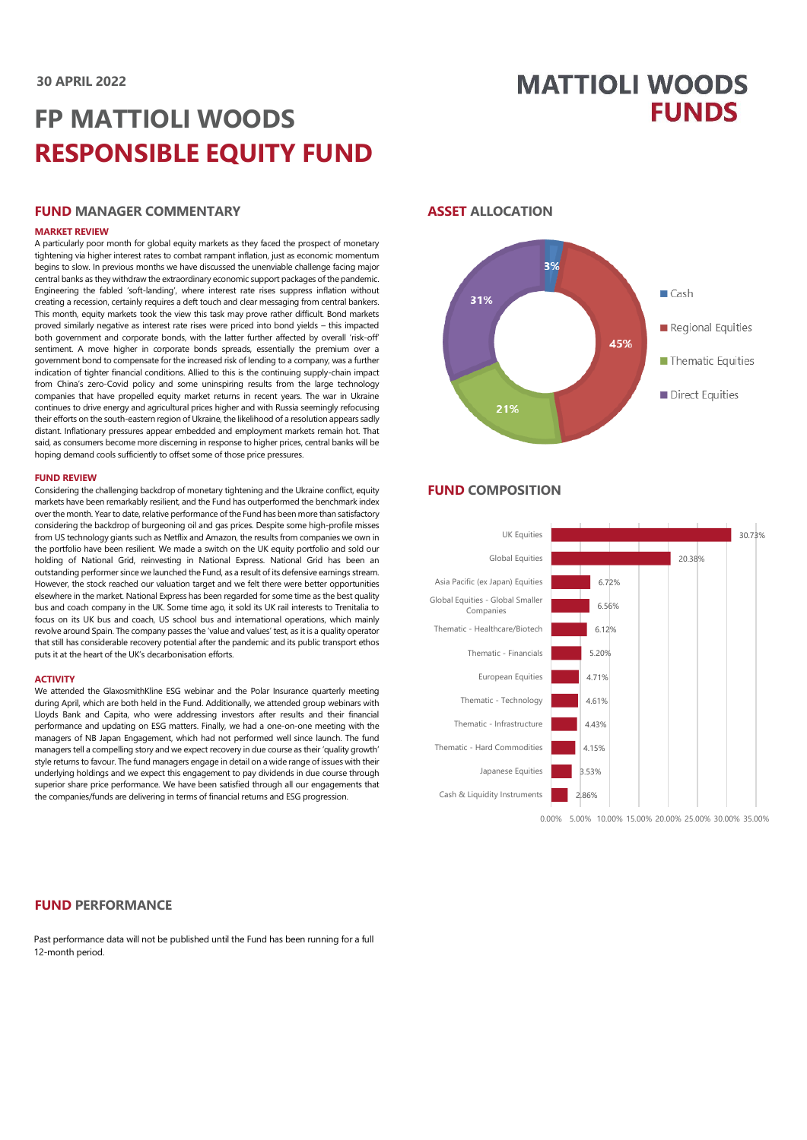# **MATTIOLI WOODS FUNDS**

# **FP MATTIOLI WOODS RESPONSIBLE EQUITY FUND**

#### **FUND MANAGER COMMENTARY**

#### **MARKET REVIEW**

A particularly poor month for global equity markets as they faced the prospect of monetary tightening via higher interest rates to combat rampant inflation, just as economic momentum begins to slow. In previous months we have discussed the unenviable challenge facing major central banks as they withdraw the extraordinary economic support packages of the pandemic. Engineering the fabled 'soft-landing', where interest rate rises suppress inflation without creating a recession, certainly requires a deft touch and clear messaging from central bankers. This month, equity markets took the view this task may prove rather difficult. Bond markets proved similarly negative as interest rate rises were priced into bond yields – this impacted both government and corporate bonds, with the latter further affected by overall 'risk-off' sentiment. A move higher in corporate bonds spreads, essentially the premium over a government bond to compensate for the increased risk of lending to a company, was a further indication of tighter financial conditions. Allied to this is the continuing supply-chain impact from China's zero-Covid policy and some uninspiring results from the large technology companies that have propelled equity market returns in recent years. The war in Ukraine continues to drive energy and agricultural prices higher and with Russia seemingly refocusing their efforts on the south-eastern region of Ukraine, the likelihood of a resolution appears sadly distant. Inflationary pressures appear embedded and employment markets remain hot. That said, as consumers become more discerning in response to higher prices, central banks will be hoping demand cools sufficiently to offset some of those price pressures.

#### **FUND REVIEW**

Considering the challenging backdrop of monetary tightening and the Ukraine conflict, equity markets have been remarkably resilient, and the Fund has outperformed the benchmark index over the month. Year to date, relative performance of the Fund has been more than satisfactory considering the backdrop of burgeoning oil and gas prices. Despite some high-profile misses from US technology giants such as Netflix and Amazon, the results from companies we own in the portfolio have been resilient. We made a switch on the UK equity portfolio and sold our holding of National Grid, reinvesting in National Express. National Grid has been an outstanding performer since we launched the Fund, as a result of its defensive earnings stream. However, the stock reached our valuation target and we felt there were better opportunities elsewhere in the market. National Express has been regarded for some time as the best quality bus and coach company in the UK. Some time ago, it sold its UK rail interests to Trenitalia to focus on its UK bus and coach, US school bus and international operations, which mainly revolve around Spain. The company passes the 'value and values' test, as it is a quality operator that still has considerable recovery potential after the pandemic and its public transport ethos puts it at the heart of the UK's decarbonisation efforts.

#### **ACTIVITY**

We attended the GlaxosmithKline ESG webinar and the Polar Insurance quarterly meeting during April, which are both held in the Fund. Additionally, we attended group webinars with Lloyds Bank and Capita, who were addressing investors after results and their financial performance and updating on ESG matters. Finally, we had a one-on-one meeting with the managers of NB Japan Engagement, which had not performed well since launch. The fund managers tell a compelling story and we expect recovery in due course as their 'quality growth' style returns to favour. The fund managers engage in detail on a wide range of issues with their underlying holdings and we expect this engagement to pay dividends in due course through superior share price performance. We have been satisfied through all our engagements that the companies/funds are delivering in terms of financial returns and ESG progression.

#### **FUND PERFORMANCE**

Past performance data will not be published until the Fund has been running for a full 12-month period.

#### **ASSET ALLOCATION**



#### **FUND COMPOSITION**